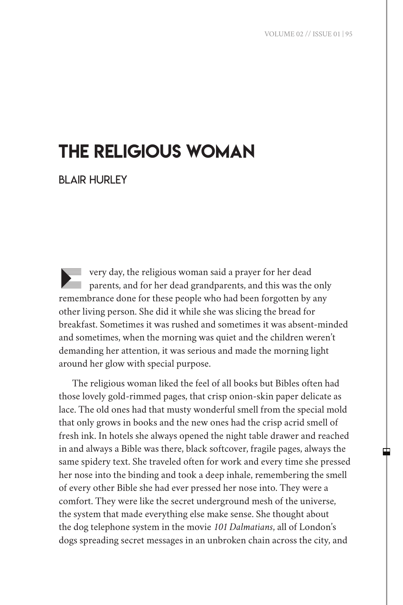中

# THE RELIGIOUS WOMAN

BLAIR HURLEY

E very day, the religious woman said a prayer for her dead parents, and for her dead grandparents, and this was the only remembrance done for these people who had been forgotten by any other living person. She did it while she was slicing the bread for breakfast. Sometimes it was rushed and sometimes it was absent-minded and sometimes, when the morning was quiet and the children weren't demanding her attention, it was serious and made the morning light around her glow with special purpose.

The religious woman liked the feel of all books but Bibles often had those lovely gold-rimmed pages, that crisp onion-skin paper delicate as lace. The old ones had that musty wonderful smell from the special mold that only grows in books and the new ones had the crisp acrid smell of fresh ink. In hotels she always opened the night table drawer and reached in and always a Bible was there, black softcover, fragile pages, always the same spidery text. She traveled often for work and every time she pressed her nose into the binding and took a deep inhale, remembering the smell of every other Bible she had ever pressed her nose into. They were a comfort. They were like the secret underground mesh of the universe, the system that made everything else make sense. She thought about the dog telephone system in the movie *101 Dalmatians*, all of London's dogs spreading secret messages in an unbroken chain across the city, and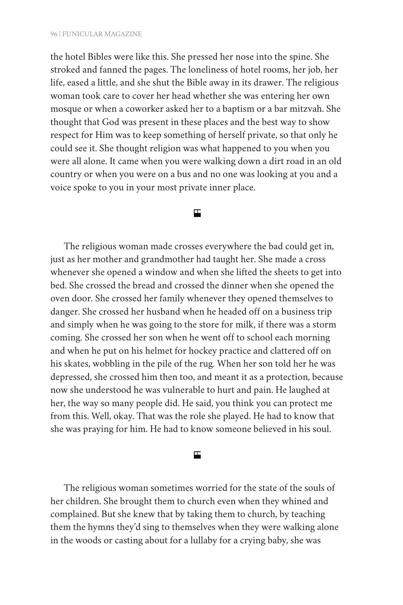the hotel Bibles were like this. She pressed her nose into the spine. She stroked and fanned the pages. The loneliness of hotel rooms, her job, her life, eased a little, and she shut the Bible away in its drawer. The religious woman took care to cover her head whether she was entering her own mosque or when a coworker asked her to a baptism or a bar mitzvah. She thought that God was present in these places and the best way to show respect for Him was to keep something of herself private, so that only he could see it. She thought religion was what happened to you when you were all alone. It came when you were walking down a dirt road in an old country or when you were on a bus and no one was looking at you and a voice spoke to you in your most private inner place.

## 円

The religious woman made crosses everywhere the bad could get in, just as her mother and grandmother had taught her. She made a cross whenever she opened a window and when she lifted the sheets to get into bed. She crossed the bread and crossed the dinner when she opened the oven door. She crossed her family whenever they opened themselves to danger. She crossed her husband when he headed off on a business trip and simply when he was going to the store for milk, if there was a storm coming. She crossed her son when he went off to school each morning and when he put on his helmet for hockey practice and clattered off on his skates, wobbling in the pile of the rug. When her son told her he was depressed, she crossed him then too, and meant it as a protection, because now she understood he was vulnerable to hurt and pain. He laughed at her, the way so many people did. He said, you think you can protect me from this. Well, okay. That was the role she played. He had to know that she was praying for him. He had to know someone believed in his soul.

## □

The religious woman sometimes worried for the state of the souls of her children. She brought them to church even when they whined and complained. But she knew that by taking them to church, by teaching them the hymns they'd sing to themselves when they were walking alone in the woods or casting about for a lullaby for a crying baby, she was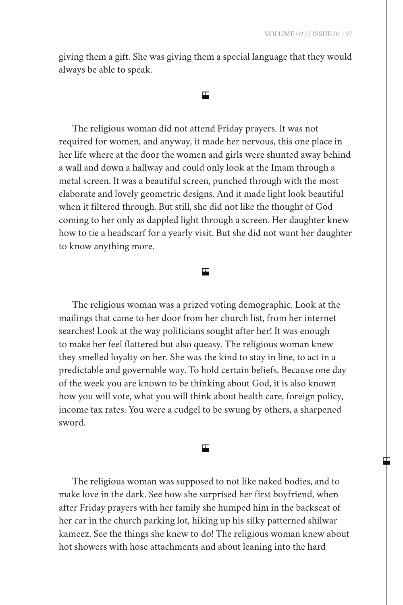giving them a gift. She was giving them a special language that they would always be able to speak.

#### Н

The religious woman did not attend Friday prayers. It was not required for women, and anyway, it made her nervous, this one place in her life where at the door the women and girls were shunted away behind a wall and down a hallway and could only look at the Imam through a metal screen. It was a beautiful screen, punched through with the most elaborate and lovely geometric designs. And it made light look beautiful when it filtered through. But still, she did not like the thought of God coming to her only as dappled light through a screen. Her daughter knew how to tie a headscarf for a yearly visit. But she did not want her daughter to know anything more.

## ш

The religious woman was a prized voting demographic. Look at the mailings that came to her door from her church list, from her internet searches! Look at the way politicians sought after her! It was enough to make her feel flattered but also queasy. The religious woman knew they smelled loyalty on her. She was the kind to stay in line, to act in a predictable and governable way. To hold certain beliefs. Because one day of the week you are known to be thinking about God, it is also known how you will vote, what you will think about health care, foreign policy, income tax rates. You were a cudgel to be swung by others, a sharpened sword.

## ш

The religious woman was supposed to not like naked bodies, and to make love in the dark. See how she surprised her first boyfriend, when after Friday prayers with her family she humped him in the backseat of her car in the church parking lot, hiking up his silky patterned shilwar kameez. See the things she knew to do! The religious woman knew about hot showers with hose attachments and about leaning into the hard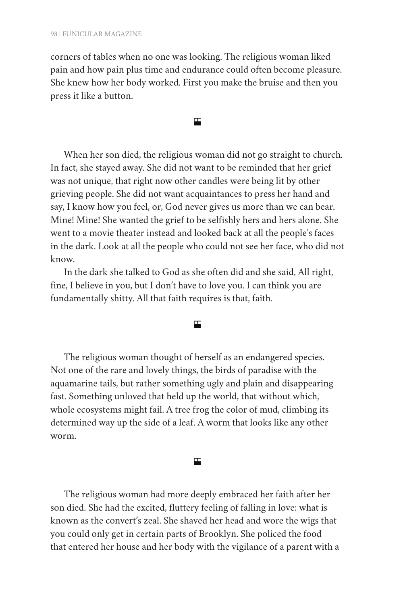corners of tables when no one was looking. The religious woman liked pain and how pain plus time and endurance could often become pleasure. She knew how her body worked. First you make the bruise and then you press it like a button.

円

When her son died, the religious woman did not go straight to church. In fact, she stayed away. She did not want to be reminded that her grief was not unique, that right now other candles were being lit by other grieving people. She did not want acquaintances to press her hand and say, I know how you feel, or, God never gives us more than we can bear. Mine! Mine! She wanted the grief to be selfishly hers and hers alone. She went to a movie theater instead and looked back at all the people's faces in the dark. Look at all the people who could not see her face, who did not know.

In the dark she talked to God as she often did and she said, All right, fine, I believe in you, but I don't have to love you. I can think you are fundamentally shitty. All that faith requires is that, faith.

円

The religious woman thought of herself as an endangered species. Not one of the rare and lovely things, the birds of paradise with the aquamarine tails, but rather something ugly and plain and disappearing fast. Something unloved that held up the world, that without which, whole ecosystems might fail. A tree frog the color of mud, climbing its determined way up the side of a leaf. A worm that looks like any other worm.

#### 円

The religious woman had more deeply embraced her faith after her son died. She had the excited, fluttery feeling of falling in love: what is known as the convert's zeal. She shaved her head and wore the wigs that you could only get in certain parts of Brooklyn. She policed the food that entered her house and her body with the vigilance of a parent with a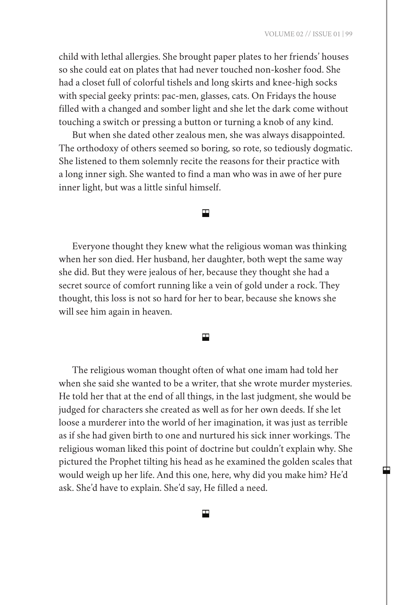œ

child with lethal allergies. She brought paper plates to her friends' houses so she could eat on plates that had never touched non-kosher food. She had a closet full of colorful tishels and long skirts and knee-high socks with special geeky prints: pac-men, glasses, cats. On Fridays the house filled with a changed and somber light and she let the dark come without touching a switch or pressing a button or turning a knob of any kind.

But when she dated other zealous men, she was always disappointed. The orthodoxy of others seemed so boring, so rote, so tediously dogmatic. She listened to them solemnly recite the reasons for their practice with a long inner sigh. She wanted to find a man who was in awe of her pure inner light, but was a little sinful himself.

# 円

Everyone thought they knew what the religious woman was thinking when her son died. Her husband, her daughter, both wept the same way she did. But they were jealous of her, because they thought she had a secret source of comfort running like a vein of gold under a rock. They thought, this loss is not so hard for her to bear, because she knows she will see him again in heaven.

#### 円

The religious woman thought often of what one imam had told her when she said she wanted to be a writer, that she wrote murder mysteries. He told her that at the end of all things, in the last judgment, she would be judged for characters she created as well as for her own deeds. If she let loose a murderer into the world of her imagination, it was just as terrible as if she had given birth to one and nurtured his sick inner workings. The religious woman liked this point of doctrine but couldn't explain why. She pictured the Prophet tilting his head as he examined the golden scales that would weigh up her life. And this one, here, why did you make him? He'd ask. She'd have to explain. She'd say, He filled a need.

# 囯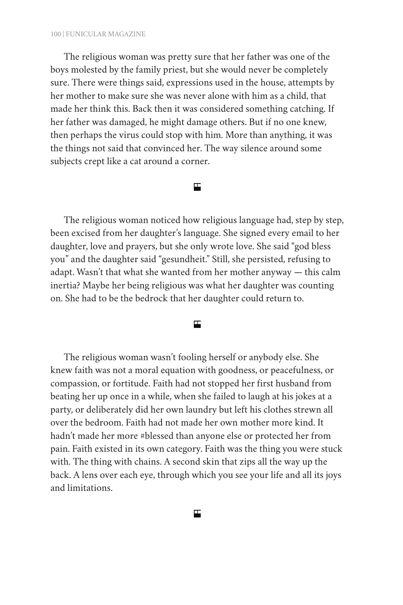The religious woman was pretty sure that her father was one of the boys molested by the family priest, but she would never be completely sure. There were things said, expressions used in the house, attempts by her mother to make sure she was never alone with him as a child, that made her think this. Back then it was considered something catching. If her father was damaged, he might damage others. But if no one knew, then perhaps the virus could stop with him. More than anything, it was the things not said that convinced her. The way silence around some subjects crept like a cat around a corner.

# 円

The religious woman noticed how religious language had, step by step, been excised from her daughter's language. She signed every email to her daughter, love and prayers, but she only wrote love. She said "god bless you" and the daughter said "gesundheit." Still, she persisted, refusing to adapt. Wasn't that what she wanted from her mother anyway — this calm inertia? Maybe her being religious was what her daughter was counting on. She had to be the bedrock that her daughter could return to.

## 円

The religious woman wasn't fooling herself or anybody else. She knew faith was not a moral equation with goodness, or peacefulness, or compassion, or fortitude. Faith had not stopped her first husband from beating her up once in a while, when she failed to laugh at his jokes at a party, or deliberately did her own laundry but left his clothes strewn all over the bedroom. Faith had not made her own mother more kind. It hadn't made her more #blessed than anyone else or protected her from pain. Faith existed in its own category. Faith was the thing you were stuck with. The thing with chains. A second skin that zips all the way up the back. A lens over each eye, through which you see your life and all its joys and limitations.

囯